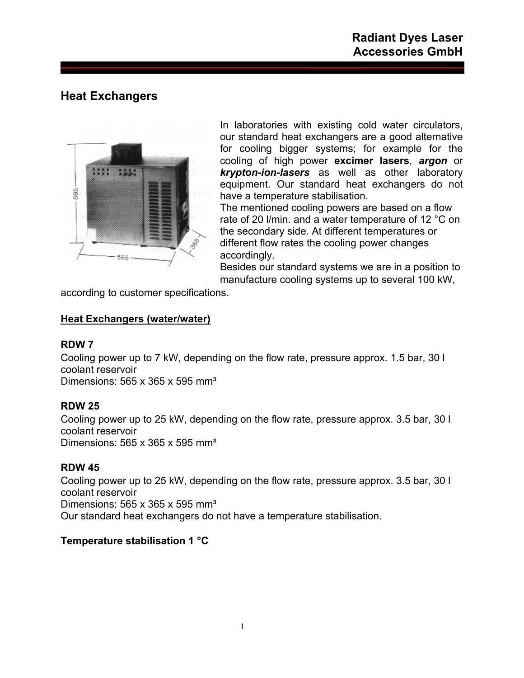# **Heat Exchangers**



In laboratories with existing cold water circulators, our standard heat exchangers are a good alternative for cooling bigger systems; for example for the cooling of high power **excimer lasers**, *argon* or *krypton-ion-lasers* as well as other laboratory equipment. Our standard heat exchangers do not have a temperature stabilisation.

The mentioned cooling powers are based on a flow rate of 20 l/min. and a water temperature of 12 °C on the secondary side. At different temperatures or different flow rates the cooling power changes accordingly.

Besides our standard systems we are in a position to manufacture cooling systems up to several 100 kW,

according to customer specifications.

## **Heat Exchangers (water/water)**

## **RDW 7**

Cooling power up to 7 kW, depending on the flow rate, pressure approx. 1.5 bar, 30 l coolant reservoir Dimensions: 565 x 365 x 595 mm<sup>3</sup>

## **RDW 25**

Cooling power up to 25 kW, depending on the flow rate, pressure approx. 3.5 bar, 30 l coolant reservoir Dimensions:  $565 \times 365 \times 595$  mm<sup>3</sup>

## **RDW 45**

Cooling power up to 25 kW, depending on the flow rate, pressure approx. 3.5 bar, 30 l coolant reservoir Dimensions:  $565 \times 365 \times 595$  mm<sup>3</sup> Our standard heat exchangers do not have a temperature stabilisation.

## **Temperature stabilisation 1 °C**